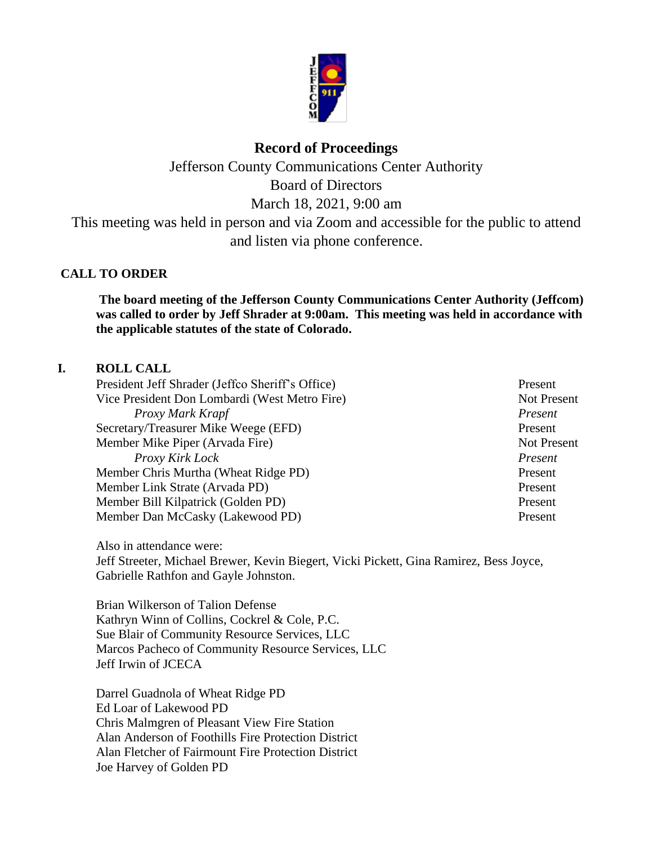

# **Record of Proceedings**

Jefferson County Communications Center Authority Board of Directors March 18, 2021, 9:00 am This meeting was held in person and via Zoom and accessible for the public to attend and listen via phone conference.

# **CALL TO ORDER**

**The board meeting of the Jefferson County Communications Center Authority (Jeffcom) was called to order by Jeff Shrader at 9:00am. This meeting was held in accordance with the applicable statutes of the state of Colorado.**

# **I. ROLL CALL**

President Jeff Shrader (Jeffco Sheriff's Office) Present Vice President Don Lombardi (West Metro Fire) Not Present *Proxy Mark Krapf Present* Secretary/Treasurer Mike Weege (EFD) Present Member Mike Piper (Arvada Fire) Not Present *Proxy Kirk Lock Present* Member Chris Murtha (Wheat Ridge PD)Present Member Link Strate (Arvada PD) Present Member Bill Kilpatrick (Golden PD) Present Member Dan McCasky (Lakewood PD) Present

Also in attendance were: Jeff Streeter, Michael Brewer, Kevin Biegert, Vicki Pickett, Gina Ramirez, Bess Joyce, Gabrielle Rathfon and Gayle Johnston.

Brian Wilkerson of Talion Defense Kathryn Winn of Collins, Cockrel & Cole, P.C. Sue Blair of Community Resource Services, LLC Marcos Pacheco of Community Resource Services, LLC Jeff Irwin of JCECA

Darrel Guadnola of Wheat Ridge PD Ed Loar of Lakewood PD Chris Malmgren of Pleasant View Fire Station Alan Anderson of Foothills Fire Protection District Alan Fletcher of Fairmount Fire Protection District Joe Harvey of Golden PD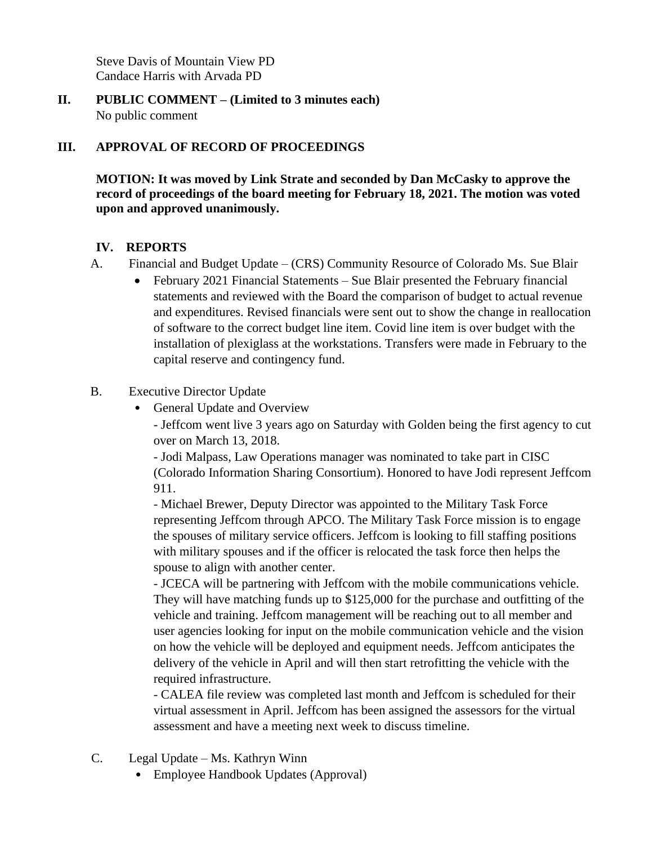Steve Davis of Mountain View PD Candace Harris with Arvada PD

**II. PUBLIC COMMENT – (Limited to 3 minutes each)** No public comment

# **III. APPROVAL OF RECORD OF PROCEEDINGS**

**MOTION: It was moved by Link Strate and seconded by Dan McCasky to approve the record of proceedings of the board meeting for February 18, 2021. The motion was voted upon and approved unanimously.**

#### **IV. REPORTS**

- A. Financial and Budget Update (CRS) Community Resource of Colorado Ms. Sue Blair
	- February 2021 Financial Statements Sue Blair presented the February financial statements and reviewed with the Board the comparison of budget to actual revenue and expenditures. Revised financials were sent out to show the change in reallocation of software to the correct budget line item. Covid line item is over budget with the installation of plexiglass at the workstations. Transfers were made in February to the capital reserve and contingency fund.

#### B. Executive Director Update

• General Update and Overview

- Jeffcom went live 3 years ago on Saturday with Golden being the first agency to cut over on March 13, 2018.

- Jodi Malpass, Law Operations manager was nominated to take part in CISC (Colorado Information Sharing Consortium). Honored to have Jodi represent Jeffcom 911.

- Michael Brewer, Deputy Director was appointed to the Military Task Force representing Jeffcom through APCO. The Military Task Force mission is to engage the spouses of military service officers. Jeffcom is looking to fill staffing positions with military spouses and if the officer is relocated the task force then helps the spouse to align with another center.

- JCECA will be partnering with Jeffcom with the mobile communications vehicle. They will have matching funds up to \$125,000 for the purchase and outfitting of the vehicle and training. Jeffcom management will be reaching out to all member and user agencies looking for input on the mobile communication vehicle and the vision on how the vehicle will be deployed and equipment needs. Jeffcom anticipates the delivery of the vehicle in April and will then start retrofitting the vehicle with the required infrastructure.

- CALEA file review was completed last month and Jeffcom is scheduled for their virtual assessment in April. Jeffcom has been assigned the assessors for the virtual assessment and have a meeting next week to discuss timeline.

- C. Legal Update Ms. Kathryn Winn
	- Employee Handbook Updates (Approval)